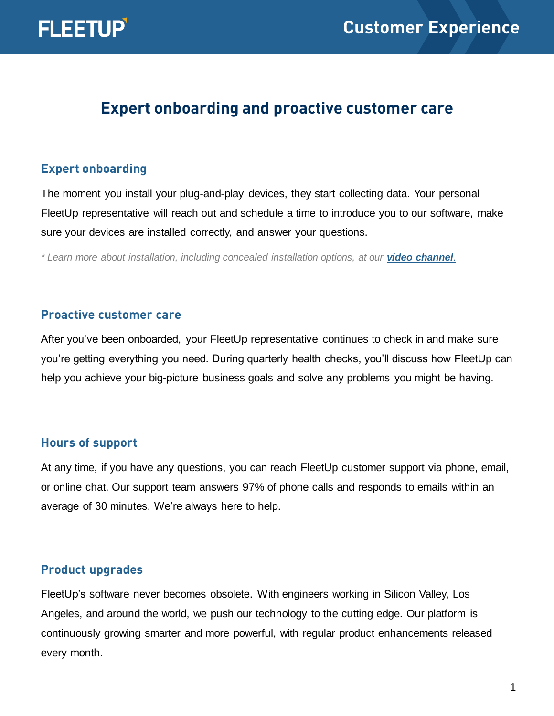

# **Expert onboarding and proactive customer care**

#### **Expert onboarding**

The moment you install your plug-and-play devices, they start collecting data. Your personal FleetUp representative will reach out and schedule a time to introduce you to our software, make sure your devices are installed correctly, and answer your questions.

*\* Learn more about installation, including concealed installation options, at our [video channel](https://www.youtube.com/playlist?list=PLtJwkCj7kmTiX8wQMfpkpaI_HPd6r12Qo).*

#### **Proactive customer care**

After you've been onboarded, your FleetUp representative continues to check in and make sure you're getting everything you need. During quarterly health checks, you'll discuss how FleetUp can help you achieve your big-picture business goals and solve any problems you might be having.

#### **Hours of support**

At any time, if you have any questions, you can reach FleetUp customer support via phone, email, or online chat. Our support team answers 97% of phone calls and responds to emails within an average of 30 minutes. We're always here to help.

## **Product upgrades**

FleetUp's software never becomes obsolete. With engineers working in Silicon Valley, Los Angeles, and around the world, we push our technology to the cutting edge. Our platform is continuously growing smarter and more powerful, with regular product enhancements released every month.